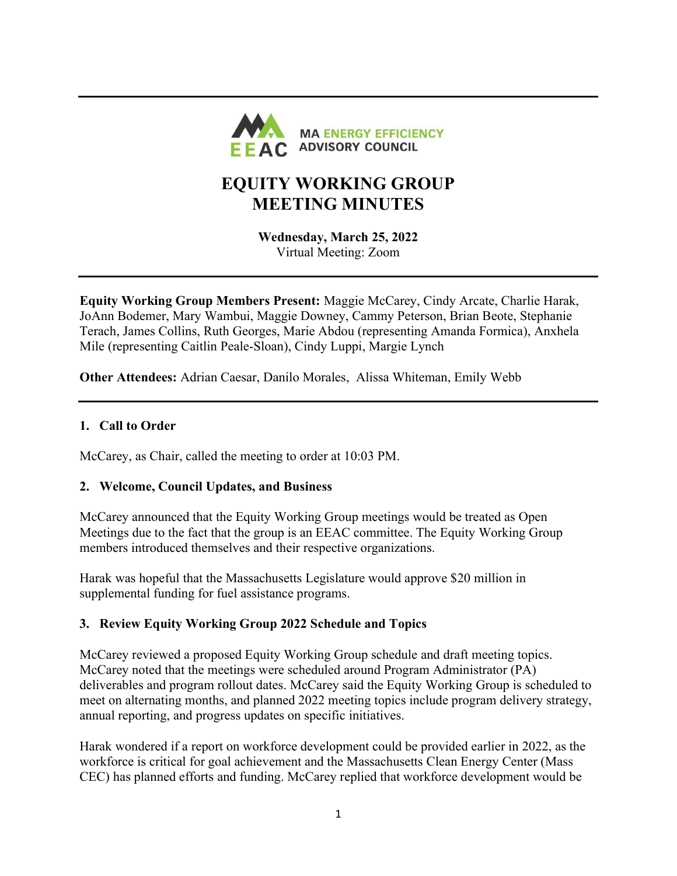

# EQUITY WORKING GROUP MEETING MINUTES

Wednesday, March 25, 2022 Virtual Meeting: Zoom

Equity Working Group Members Present: Maggie McCarey, Cindy Arcate, Charlie Harak, JoAnn Bodemer, Mary Wambui, Maggie Downey, Cammy Peterson, Brian Beote, Stephanie Terach, James Collins, Ruth Georges, Marie Abdou (representing Amanda Formica), Anxhela Mile (representing Caitlin Peale-Sloan), Cindy Luppi, Margie Lynch

Other Attendees: Adrian Caesar, Danilo Morales, Alissa Whiteman, Emily Webb

### 1. Call to Order

McCarey, as Chair, called the meeting to order at 10:03 PM.

#### 2. Welcome, Council Updates, and Business

McCarey announced that the Equity Working Group meetings would be treated as Open Meetings due to the fact that the group is an EEAC committee. The Equity Working Group members introduced themselves and their respective organizations.

Harak was hopeful that the Massachusetts Legislature would approve \$20 million in supplemental funding for fuel assistance programs.

## 3. Review Equity Working Group 2022 Schedule and Topics

McCarey reviewed a proposed Equity Working Group schedule and draft meeting topics. McCarey noted that the meetings were scheduled around Program Administrator (PA) deliverables and program rollout dates. McCarey said the Equity Working Group is scheduled to meet on alternating months, and planned 2022 meeting topics include program delivery strategy, annual reporting, and progress updates on specific initiatives.

Harak wondered if a report on workforce development could be provided earlier in 2022, as the workforce is critical for goal achievement and the Massachusetts Clean Energy Center (Mass CEC) has planned efforts and funding. McCarey replied that workforce development would be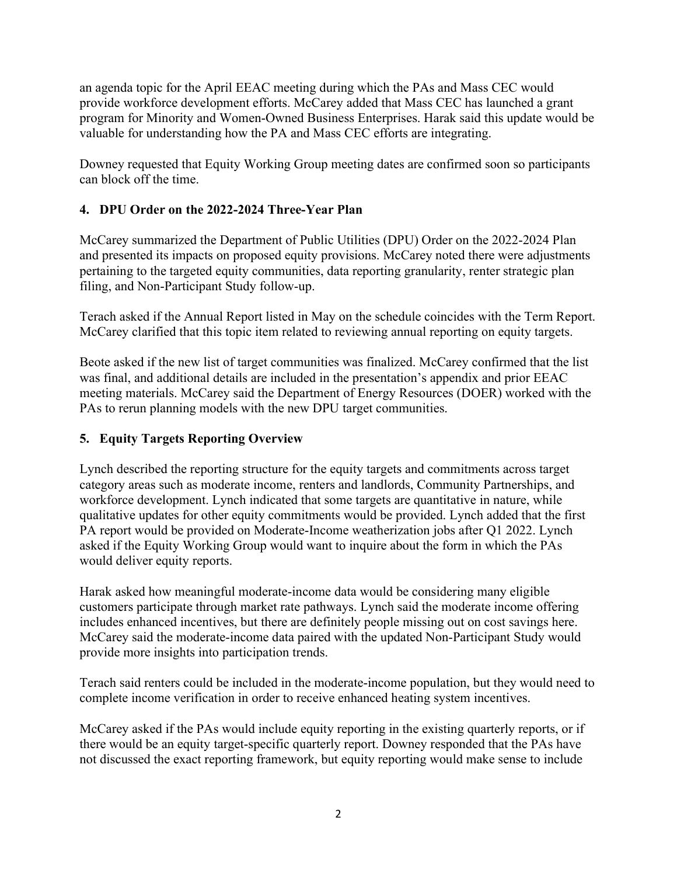an agenda topic for the April EEAC meeting during which the PAs and Mass CEC would provide workforce development efforts. McCarey added that Mass CEC has launched a grant program for Minority and Women-Owned Business Enterprises. Harak said this update would be valuable for understanding how the PA and Mass CEC efforts are integrating.

Downey requested that Equity Working Group meeting dates are confirmed soon so participants can block off the time.

## 4. DPU Order on the 2022-2024 Three-Year Plan

McCarey summarized the Department of Public Utilities (DPU) Order on the 2022-2024 Plan and presented its impacts on proposed equity provisions. McCarey noted there were adjustments pertaining to the targeted equity communities, data reporting granularity, renter strategic plan filing, and Non-Participant Study follow-up.

Terach asked if the Annual Report listed in May on the schedule coincides with the Term Report. McCarey clarified that this topic item related to reviewing annual reporting on equity targets.

Beote asked if the new list of target communities was finalized. McCarey confirmed that the list was final, and additional details are included in the presentation's appendix and prior EEAC meeting materials. McCarey said the Department of Energy Resources (DOER) worked with the PAs to rerun planning models with the new DPU target communities.

## 5. Equity Targets Reporting Overview

Lynch described the reporting structure for the equity targets and commitments across target category areas such as moderate income, renters and landlords, Community Partnerships, and workforce development. Lynch indicated that some targets are quantitative in nature, while qualitative updates for other equity commitments would be provided. Lynch added that the first PA report would be provided on Moderate-Income weatherization jobs after Q1 2022. Lynch asked if the Equity Working Group would want to inquire about the form in which the PAs would deliver equity reports.

Harak asked how meaningful moderate-income data would be considering many eligible customers participate through market rate pathways. Lynch said the moderate income offering includes enhanced incentives, but there are definitely people missing out on cost savings here. McCarey said the moderate-income data paired with the updated Non-Participant Study would provide more insights into participation trends.

Terach said renters could be included in the moderate-income population, but they would need to complete income verification in order to receive enhanced heating system incentives.

McCarey asked if the PAs would include equity reporting in the existing quarterly reports, or if there would be an equity target-specific quarterly report. Downey responded that the PAs have not discussed the exact reporting framework, but equity reporting would make sense to include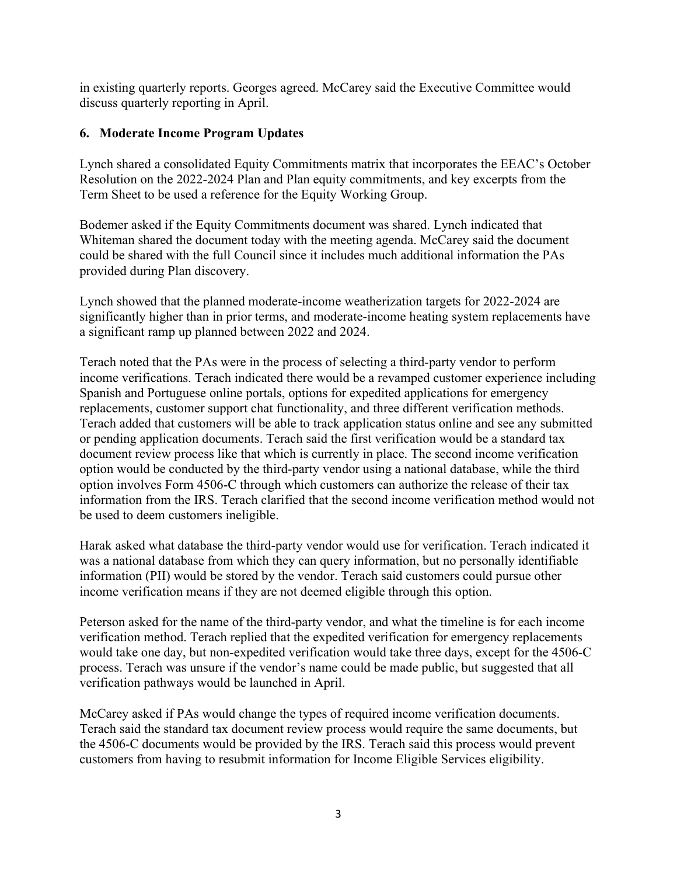in existing quarterly reports. Georges agreed. McCarey said the Executive Committee would discuss quarterly reporting in April.

## 6. Moderate Income Program Updates

Lynch shared a consolidated Equity Commitments matrix that incorporates the EEAC's October Resolution on the 2022-2024 Plan and Plan equity commitments, and key excerpts from the Term Sheet to be used a reference for the Equity Working Group.

Bodemer asked if the Equity Commitments document was shared. Lynch indicated that Whiteman shared the document today with the meeting agenda. McCarey said the document could be shared with the full Council since it includes much additional information the PAs provided during Plan discovery.

Lynch showed that the planned moderate-income weatherization targets for 2022-2024 are significantly higher than in prior terms, and moderate-income heating system replacements have a significant ramp up planned between 2022 and 2024.

Terach noted that the PAs were in the process of selecting a third-party vendor to perform income verifications. Terach indicated there would be a revamped customer experience including Spanish and Portuguese online portals, options for expedited applications for emergency replacements, customer support chat functionality, and three different verification methods. Terach added that customers will be able to track application status online and see any submitted or pending application documents. Terach said the first verification would be a standard tax document review process like that which is currently in place. The second income verification option would be conducted by the third-party vendor using a national database, while the third option involves Form 4506-C through which customers can authorize the release of their tax information from the IRS. Terach clarified that the second income verification method would not be used to deem customers ineligible.

Harak asked what database the third-party vendor would use for verification. Terach indicated it was a national database from which they can query information, but no personally identifiable information (PII) would be stored by the vendor. Terach said customers could pursue other income verification means if they are not deemed eligible through this option.

Peterson asked for the name of the third-party vendor, and what the timeline is for each income verification method. Terach replied that the expedited verification for emergency replacements would take one day, but non-expedited verification would take three days, except for the 4506-C process. Terach was unsure if the vendor's name could be made public, but suggested that all verification pathways would be launched in April.

McCarey asked if PAs would change the types of required income verification documents. Terach said the standard tax document review process would require the same documents, but the 4506-C documents would be provided by the IRS. Terach said this process would prevent customers from having to resubmit information for Income Eligible Services eligibility.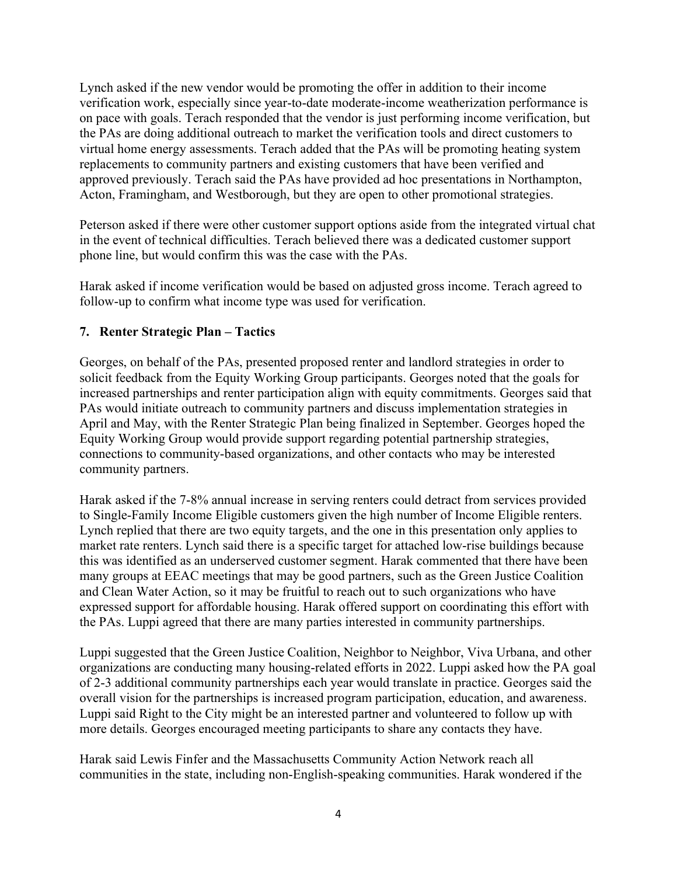Lynch asked if the new vendor would be promoting the offer in addition to their income verification work, especially since year-to-date moderate-income weatherization performance is on pace with goals. Terach responded that the vendor is just performing income verification, but the PAs are doing additional outreach to market the verification tools and direct customers to virtual home energy assessments. Terach added that the PAs will be promoting heating system replacements to community partners and existing customers that have been verified and approved previously. Terach said the PAs have provided ad hoc presentations in Northampton, Acton, Framingham, and Westborough, but they are open to other promotional strategies.

Peterson asked if there were other customer support options aside from the integrated virtual chat in the event of technical difficulties. Terach believed there was a dedicated customer support phone line, but would confirm this was the case with the PAs.

Harak asked if income verification would be based on adjusted gross income. Terach agreed to follow-up to confirm what income type was used for verification.

## 7. Renter Strategic Plan – Tactics

Georges, on behalf of the PAs, presented proposed renter and landlord strategies in order to solicit feedback from the Equity Working Group participants. Georges noted that the goals for increased partnerships and renter participation align with equity commitments. Georges said that PAs would initiate outreach to community partners and discuss implementation strategies in April and May, with the Renter Strategic Plan being finalized in September. Georges hoped the Equity Working Group would provide support regarding potential partnership strategies, connections to community-based organizations, and other contacts who may be interested community partners.

Harak asked if the 7-8% annual increase in serving renters could detract from services provided to Single-Family Income Eligible customers given the high number of Income Eligible renters. Lynch replied that there are two equity targets, and the one in this presentation only applies to market rate renters. Lynch said there is a specific target for attached low-rise buildings because this was identified as an underserved customer segment. Harak commented that there have been many groups at EEAC meetings that may be good partners, such as the Green Justice Coalition and Clean Water Action, so it may be fruitful to reach out to such organizations who have expressed support for affordable housing. Harak offered support on coordinating this effort with the PAs. Luppi agreed that there are many parties interested in community partnerships.

Luppi suggested that the Green Justice Coalition, Neighbor to Neighbor, Viva Urbana, and other organizations are conducting many housing-related efforts in 2022. Luppi asked how the PA goal of 2-3 additional community partnerships each year would translate in practice. Georges said the overall vision for the partnerships is increased program participation, education, and awareness. Luppi said Right to the City might be an interested partner and volunteered to follow up with more details. Georges encouraged meeting participants to share any contacts they have.

Harak said Lewis Finfer and the Massachusetts Community Action Network reach all communities in the state, including non-English-speaking communities. Harak wondered if the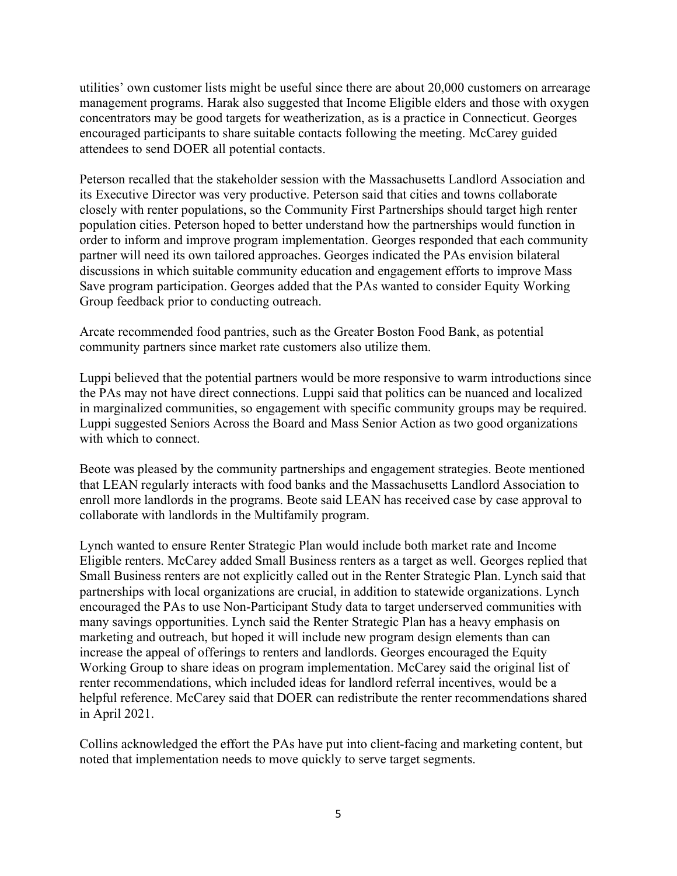utilities' own customer lists might be useful since there are about 20,000 customers on arrearage management programs. Harak also suggested that Income Eligible elders and those with oxygen concentrators may be good targets for weatherization, as is a practice in Connecticut. Georges encouraged participants to share suitable contacts following the meeting. McCarey guided attendees to send DOER all potential contacts.

Peterson recalled that the stakeholder session with the Massachusetts Landlord Association and its Executive Director was very productive. Peterson said that cities and towns collaborate closely with renter populations, so the Community First Partnerships should target high renter population cities. Peterson hoped to better understand how the partnerships would function in order to inform and improve program implementation. Georges responded that each community partner will need its own tailored approaches. Georges indicated the PAs envision bilateral discussions in which suitable community education and engagement efforts to improve Mass Save program participation. Georges added that the PAs wanted to consider Equity Working Group feedback prior to conducting outreach.

Arcate recommended food pantries, such as the Greater Boston Food Bank, as potential community partners since market rate customers also utilize them.

Luppi believed that the potential partners would be more responsive to warm introductions since the PAs may not have direct connections. Luppi said that politics can be nuanced and localized in marginalized communities, so engagement with specific community groups may be required. Luppi suggested Seniors Across the Board and Mass Senior Action as two good organizations with which to connect.

Beote was pleased by the community partnerships and engagement strategies. Beote mentioned that LEAN regularly interacts with food banks and the Massachusetts Landlord Association to enroll more landlords in the programs. Beote said LEAN has received case by case approval to collaborate with landlords in the Multifamily program.

Lynch wanted to ensure Renter Strategic Plan would include both market rate and Income Eligible renters. McCarey added Small Business renters as a target as well. Georges replied that Small Business renters are not explicitly called out in the Renter Strategic Plan. Lynch said that partnerships with local organizations are crucial, in addition to statewide organizations. Lynch encouraged the PAs to use Non-Participant Study data to target underserved communities with many savings opportunities. Lynch said the Renter Strategic Plan has a heavy emphasis on marketing and outreach, but hoped it will include new program design elements than can increase the appeal of offerings to renters and landlords. Georges encouraged the Equity Working Group to share ideas on program implementation. McCarey said the original list of renter recommendations, which included ideas for landlord referral incentives, would be a helpful reference. McCarey said that DOER can redistribute the renter recommendations shared in April 2021.

Collins acknowledged the effort the PAs have put into client-facing and marketing content, but noted that implementation needs to move quickly to serve target segments.